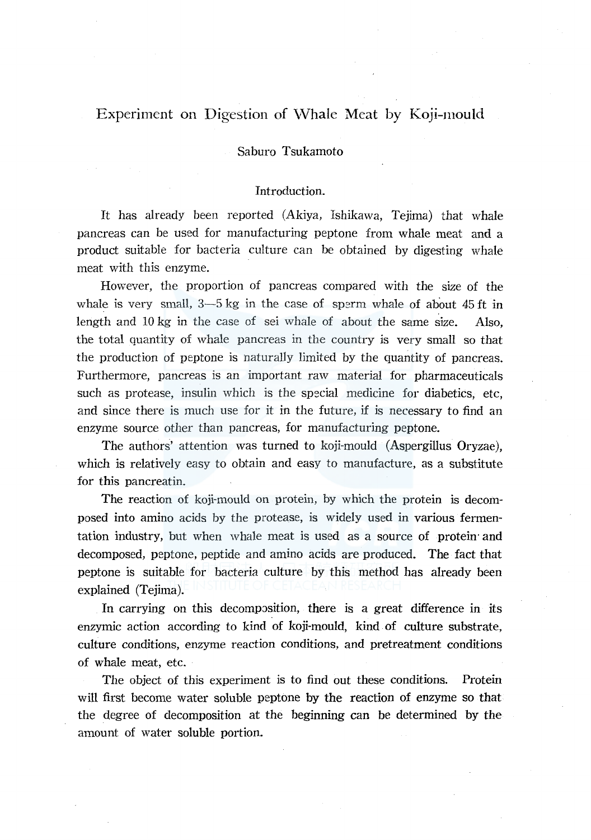# Experiment on Digestion of Whale Meat by Koji-mould

# Saburo Tsukamoto

### Introduction.

It has already been reported (Akiya, Ishikawa, Tejima) that whale pancreas can be used for manufacturing peptone from whale meat and a product suitable for bacteria culture can be obtained by digesting whale meat with this enzyme.

However, the proportion of pancreas compared with the size of the whale is very small,  $3-5$  kg in the case of sperm whale of about 45 ft in length and 10 kg in the case of sei whale of about the same size. Also, the total quantity of whale pancreas in the country is very small so that the production of peptone is naturally limited by the quantity of pancreas. Furthermore, pancreas is an important raw material for pharmaceuticals such as protease, insulin which is the special medicine for diabetics, etc, and since there is much use for it in the future, if is necessary to find an enzyme source other than pancreas, for manufacturing peptone.

The authors' attention was turned to koji-mould (Aspergillus Oryzae), which is relatively easy to obtain and easy to manufacture, as a substitute for this pancreatin.

The reaction of koji-mould on protein, by which the protein is decomposed into amino acids by the protease, is widely used in various fermentation industry, but when whale meat is used as a source of protein and decomposed, peptone, peptide and amino acids are produced. The fact that peptone is suitable for bacteria culture by this method has already been explained (Tejima).

In carrying on this decomposition, there is a great difference in its enzymic action according to kind of koji-mould, kind of culture substrate, culture conditions, enzyme reaction conditions, and pretreatment conditions of whale meat, etc.

The object of this experiment is to find out these conditions. Protein will first become water soluble peptone by the reaction of enzyme so that the degree of decomposition at the beginning can be determined by the amount of water soluble portion.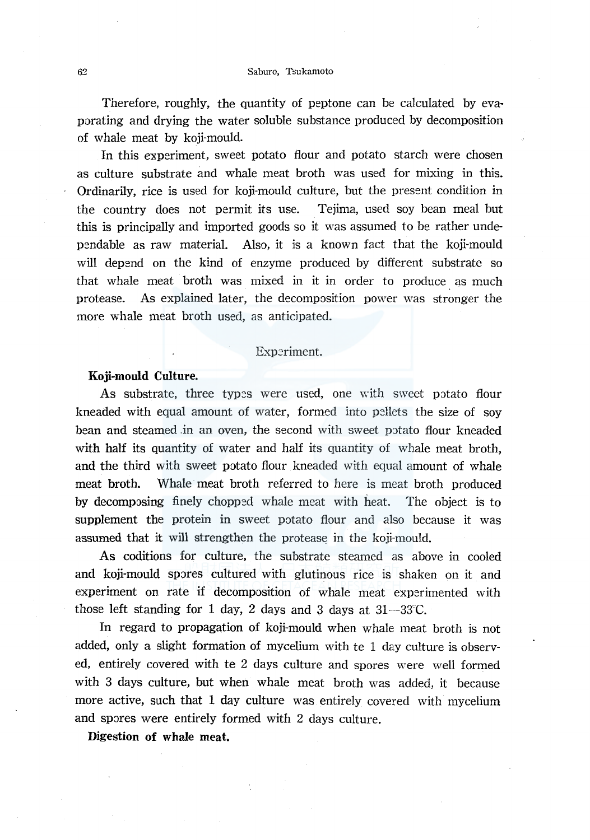Therefore, roughly, the quantity of peptone can be calculated by evaporating and drying the water soluble substance produced by decomposition of whale meat by koji-mould.

In this experiment, sweet potato flour and potato starch were chosen as culture substrate and whale meat broth was used for mixing in this. Ordinarily, rice is used for koji-mould culture, but the present condition in the country does not permit its use. Tejima, used soy bean meal but this is principally and imported goods so it was assumed to be rather undependable as raw material. Also, it is a known fact that the koji-mould will depend on the kind of enzyme produced by different substrate so that whale meat broth was mixed in it in order to produce as much protease. As explained later, the decomposition power was stronger the more whale meat broth used, as anticipated.

#### Experiment.

#### **Koji-mould Culture.**

As substrate, three types were used, one with sweet potato flour kneaded with equal amount of water, formed into pellets the size of soy bean and steamed .in an oven, the second with sweet potato flour kneaded with half its quantity of water and half its quantity of whale meat broth, and the third with sweet potato flour kneaded with equal amount of whale meat broth. Whale meat broth referred to here is meat broth produced by decomposing finely chopped whale meat with heat. The object is to supplement the protein in sweet potato flour and also because it was assumed that it will strengthen the protease in the koji-mould.

As coditions for culture, the substrate steamed as above in cooled and koji-mould spores cultured with glutinous rice is shaken on it and experiment on rate if decomposition of whale meat experimented with those left standing for 1 day, 2 days and 3 days at  $31-33$ °C.

In regard to propagation of koji-mould when whale meat broth is not added, only a slight formation of mycelium with te 1 day culture is observed, entirely covered with te 2 days culture and spores were well formed with 3 days culture, but when whale meat broth was added, it because more active, such that 1 day culture was entirely covered with mycelium and spores were entirely formed with 2 days culture.

**Digestion of whale meat.**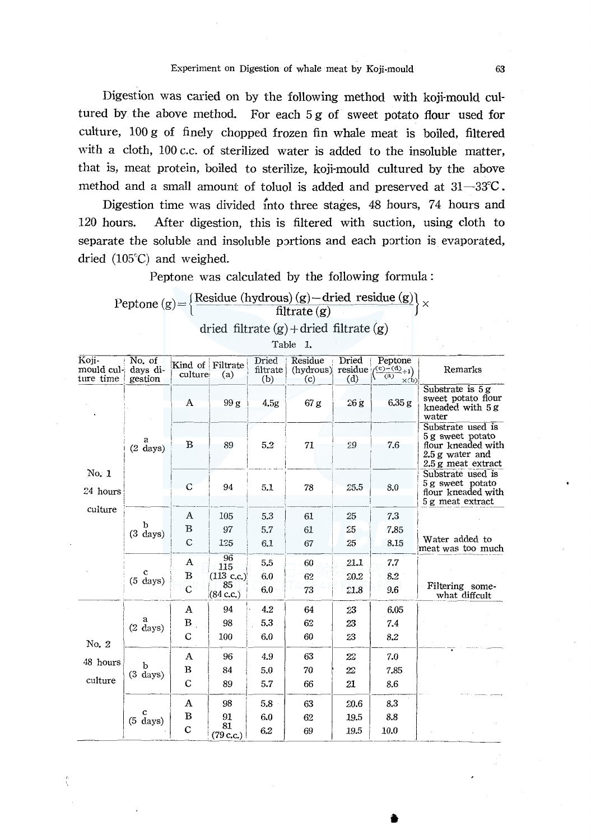Digestion was caried on by the following method with koji-mould cultured by the above method. For each 5 g of sweet potato flour used for culture, 100 g of finely chopped frozen fin whale meat is boiled, filtered with a cloth, 100 c.c. of sterilized water is added to the insoluble matter, that is, meat protein, boiled to sterilize, koji-mould cultured by the above method and a small amount of toluol is added and preserved at  $31-33^{\circ}\text{C}$ .

Digestion time was divided into three stages, 48 hours, 74 hours and 120 hours. After digestion, this is filtered with suction, using cloth to separate the soluble and insoluble portions and each portion is evaporated, dried  $(105^{\circ}C)$  and weighed.

Peptone was calculated by the following formula :

|  | Peptone (g) = $\frac{\text{Residue (hydrous) (g) - dried residue (g)}}{\text{cis}}$<br>filtrate $(g)$ |  |
|--|-------------------------------------------------------------------------------------------------------|--|
|  |                                                                                                       |  |

dried filtrate  $(g)$  + dried filtrate  $(g)$ Table 1.  $\begin{array}{c|c|c|c|c|c} \hline \text{Koji-} & \text{No. of} & \text{Kind of Filter} & \text{Dried} & \text{Period} & \text{Peptone} \\ \text{mould cul-} & \text{days di-} & \text{culture} & \text{(a)} & \text{filterate} & \text{(hydrous)} & \text{residue} & \text{(&c)-c(d)+1)} & \text{Remarks} \end{array}$ 1 ture time  $\begin{bmatrix} \text{equation} \\ \text{gestion} \end{bmatrix}$  culture; (a)  $\begin{bmatrix} \text{unitary of } \\ \text{(b)} \end{bmatrix}$  (c)  $\begin{bmatrix} \text{unitary of } \\ \text{(c)} \end{bmatrix}$ No. 1 gestion culture (a) (b) (c) (d)  $\frac{(\overline{a}) - \overline{x+b}}{(\overline{a}) - \overline{x+b}}$  Substrate is 5g  $\begin{array}{|c|c|c|c|c|c|}\n\hline\n\text{A} & 99 \text{ g} & 4.5g & 67 \text{ g} & 26 \text{ g} & 6.35 \text{ g} & \text{kneeded with } 5 \text{ g} \\
\hline\n\end{array}$  $\begin{matrix}a\\(2 \text{ days})\end{matrix}$ i **I 1999**  $\frac{358}{100}$   $\frac{4.98}{100}$   $\frac{208}{1000}$   $\frac{3.068}{1000}$  kneaded with 5 g water Substrate used is<br>
89 5.2 71 29 7.6 flour kneaded with  $\begin{array}{|c|c|c|c|c|c|}\n\hline\n\text{B} & \text{89} & \text{5.2} & \text{71} & \text{29} & \text{7.6} & \text{four threaded with} \end{array}$ 2.5 g water and  $2.5 \,\mathrm{g}$  meat extract 1 Substrate used is  $1 \t 94 \t 51 \t 78 \t 25.5 \t 8.0 \t 5g$  sweet potato 24 hours 1 I 78 *25• <sup>5</sup>*I 8· flour kneaded with  $5g$  meat extract  $\begin{array}{|c|c|c|c|c|c|} \hline \multicolumn{1}{c|}{\textbf{C}} & \multicolumn{1}{c|}{94} & \multicolumn{1}{c|}{5.1} & \multicolumn{1}{c|}{78} \\ \hline \multicolumn{1}{c|}{\textbf{C}} & \multicolumn{1}{c|}{\textbf{S}} & \multicolumn{1}{c|}{\textbf{S}} & \multicolumn{1}{c|}{\textbf{S}} \\ \hline \multicolumn{1}{c|}{\textbf{C}} & \multicolumn{1}{c|}{\textbf{S}} & \multicolumn{1}{c|}{\textbf{S}} & \multicolumn{1}{c|}{\textbf$  $\frac{1}{\text{cylinder}}$   $\frac{1}{\text{cylinder}}$   $\frac{1}{\text{cylinder}}$   $\frac{1}{\text{cylinder}}$   $\frac{1}{\text{cylinder}}$   $\frac{1}{\text{cylinder}}$   $\frac{1}{\text{cylinder}}$   $\frac{1}{\text{cylinder}}$   $\frac{1}{\text{cylinder}}$   $\frac{1}{\text{cylinder}}$   $\frac{1}{\text{cylinder}}$   $\frac{1}{\text{cylinder}}$   $\frac{1}{\text{cylinder}}$   $\frac{1}{\text{cylinder}}$   $\frac{1}{\text{cylinder}}$   $\frac{1}{\text{cylinder$ b  $(3 \text{ days})$  $\frac{c}{(5 \text{ days})}$ A I 105 5.3 I <sup>61</sup>i 25 i 7.3 i · I <sup>r</sup> **5 5.7** 61 25 6 7 61 1. \_ 2 5 , , 1 7.85  $C \begin{array}{|c|c|c|c|c|c|c|c|} \hline 1.25 & 6.1 & 67 & 25 & 8.15 \ \hline \end{array}$ 1-4 60 60 61.<br>
1-15 5.5 60 21.1 7.7  $\overline{\mathbf{B}}$  $(113 \text{ c.c.})$  6.0 62 20.2  $8.2$ 85  $C \left[ 83 \atop(84 \text{ c.c.}) \right]$  6.0  $- 73$   $- 21.8$  9.6 Water added to imeat was too much Filtering some- what diffcult ----1(2-d~;s)T-: -l-:: -, ::~ -------------~:~ -- --- --- ---- <sup>1</sup>I c I 100 60 8.2 64 23 *62* 23 No. 2  $\begin{array}{|c|c|c|c|c|} \hline \end{array}$  C  $\begin{array}{|c|c|c|c|} \hline \end{array}$  100 6.0 48 hours  $\begin{array}{|c|c|c|c|c|c|} \hline \end{array}$  A | 96 | 4.9 ours.I b B 84 I 0  $(3 \text{ days})$   $\begin{array}{|c|c|c|c|} \hline B & 84 & 5.0 \\ C & 89 & 5.7 \end{array}$ culture  $\begin{vmatrix} (3 & \text{days}) \\ 0 & \text{c} \end{vmatrix}$  89 5.7  $\begin{array}{c|c|c|c|c} & & {\rm A} & & 98 & & 5.8 \ \hline \text{(5 days)} & {\rm B} & & 91 & & 6.0 \ \end{array}$ 6.0 5.8  $\begin{array}{|c|c|c|c|c|c|}\n\hline\n & & c & & 81 & 6. \ \hline\n\end{array}$ 6.2  $\begin{array}{c|c} \hline 60 & 23 \\ \hline 63 & 20 \\ \hline \end{array}$ 63 *22*  70 22 66 21 63 |  $20.6$ 62 19.5 I 69 19.5 7.0 7.85 8.6 8.3 8.8  $\overline{10.0}$  J  $\overline{10.0}$ ---

•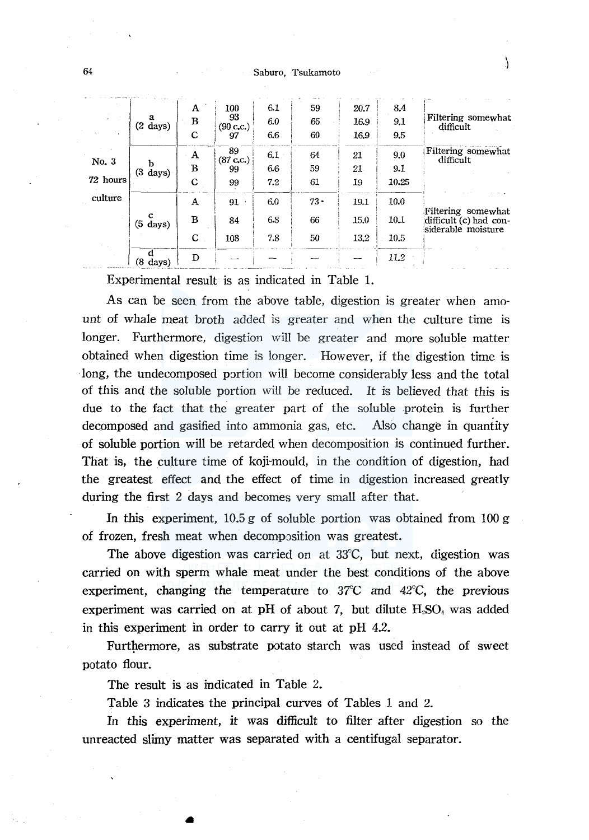#### Saburo, Tsukamoto

|                   |                         | A           | 100             | 6.1 | 59     | 20.7 | 8.4   |                                                                     |
|-------------------|-------------------------|-------------|-----------------|-----|--------|------|-------|---------------------------------------------------------------------|
|                   | a<br>$(2 \text{ days})$ | B           | 93<br>(90 c.c.) | 6.0 | 65     | 16.9 | 9.1   | Filtering somewhat<br>difficult                                     |
|                   |                         | С           | 97              | 6.6 | 60     | 16.9 | 9.5   |                                                                     |
| No. 3<br>72 hours | ь<br>$(3 \text{ days})$ | A           | 89<br>(87 c.c.) | 6.1 | 64     | 21   | 9.0   | Filtering somewhat<br>difficult                                     |
|                   |                         | B           | 99              | 6.6 | 59     | 21.  | 9.1   |                                                                     |
|                   |                         | C           | 99              | 7.2 | 61     | 19   | 10.25 |                                                                     |
| culture           |                         | A           | 91<br>$\bullet$ | 6.0 | $73 -$ | 19.1 | 10.0  |                                                                     |
|                   | c<br>$(5 \text{ days})$ | B           | 84              | 6.8 | 66     | 15.0 | 10.1  | Filtering somewhat:<br>difficult (c) had con-<br>siderable moisture |
|                   |                         | $\mathbf C$ | 108             | 7.8 | 50     | 13.2 | 10.5  |                                                                     |
|                   | ₫<br>(8<br>days)        | D           |                 |     |        |      | 11.2  |                                                                     |

Experimental result is as indicated in Table 1.

As can be seen from the above table, digestion is greater when amount of whale meat broth added is greater and \vhen the culture time is longer. Furthermore, digestion will be greater and more soluble matter obtained when digestion time is longer. However, if the digestion time is ·long, the undecomposed portion will become considerably less and the total of this and the soluble portion will be reduced. It is believed that this is due to the fact that the greater part of the soluble protein is further decomposed and gasified into ammonia gas, etc. Also change in quantity of soluble portion will be retarded when decomposition is continued further. That is, the culture time of koji-mould, in the condition of digestion, had the greatest effect and the effect of time in digestion increased greatly during the first 2 days and becomes very small after that.

In this experiment,  $10.5 g$  of soluble portion was obtained from  $100 g$ of frozen, fresh meat when decomposition was greatest.

The above digestion was carried on at 33"C, but next, digestion was carried on with sperm whale meat under the best conditions of the above experiment, changing the temperature to *37'C* and 42°C, the previous experiment was carried on at pH of about 7, but dilute  $H_2SO_4$  was added in this experiment in order to carry it out at pH 4.2.

Furthermore, as substrate potato starch was used instead of sweet potato flour.

The result is as indicated in Table 2.

•

Table 3 indicates the principal curves of Tables l and 2.

In this experiment, it was difficult to filter after digestion so the unreacted slimy matter was separated with a centifugal separator.

64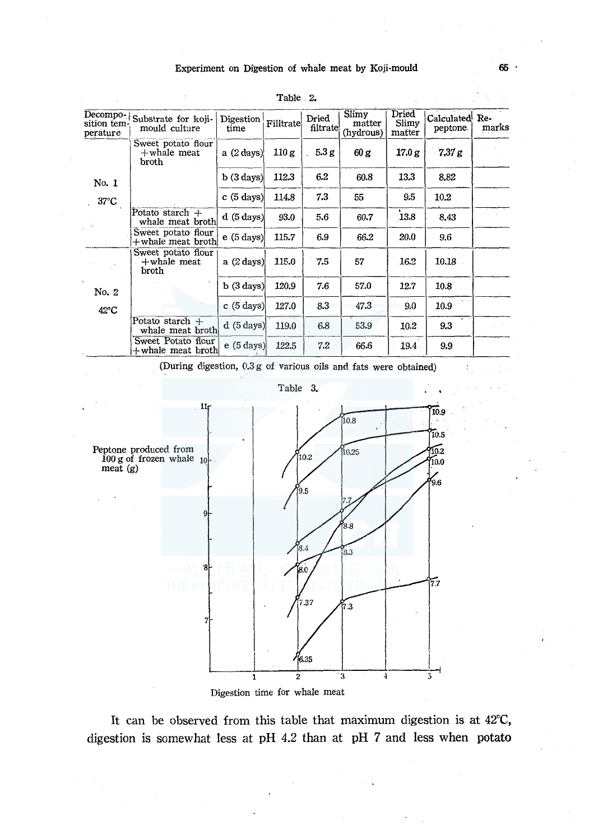#### Experiment on Digestion of whale meat by Koji-mould

| Decompo-<br>sition tem-<br>perature | Substrate for koji-<br>mould culture          | Digestion<br>time    | Filltrate | Dried<br>filtrate | Slimy<br>matter<br>(hydrous) | Dried<br>Slimy<br>matter | <b>Calculated</b><br>peptone. | Re-<br>marks |
|-------------------------------------|-----------------------------------------------|----------------------|-----------|-------------------|------------------------------|--------------------------|-------------------------------|--------------|
|                                     | Sweet potato flour<br>$+$ whale meat<br>broth | a $(2 \text{ days})$ | 110 g     | 5.3g              | 60 g                         | 17.0 g                   | 7.37 g                        |              |
| No. 1                               |                                               | b(3 days)            | 112.3     | 6.2               | 60.8                         | 13.3                     | 8.82                          |              |
| $37^{\circ}$ C                      |                                               | c(5 days)            | 114.8     | 7.3               | 55                           | 9.5                      | 10.2                          |              |
|                                     | Potato starch $+$<br>whale meat broth         | d(5 days)            | 93.0      | 5.6               | 60.7                         | 13.8                     | 8.43                          |              |
|                                     | Sweet potato flour<br>+whale meat broth!      | e(5 days)            | 115.7     | 6.9               | 66.2                         | 20.0                     | 9.6                           |              |
|                                     | Sweet potato flour<br>$+$ whale meat<br>broth | a (2 days)           | 115.0     | 7.5               | 57                           | 16.2                     | 10.18                         |              |
| No. 2                               |                                               | $b(3 \text{ days})$  | 120.9     | 7.6               | 57.0                         | 12.7                     | 10.8                          |              |
| $42^{\circ}$ C                      |                                               | c(5 days)            | 127.0     | 8.3               | 47.3                         | 9.0                      | 10.9                          |              |
|                                     | Potato starch $+$<br>whale meat broth         | d(5 days)            | 119.0     | 6.8               | 53.9                         | 10.2                     | 9.3                           |              |
|                                     | Sweet Potato flour<br>$+$ whale meat broth    | e(5 days)            | 122.5     | 7.2               | 66.6                         | 19.4                     | 9.9                           |              |

| Table .<br>.,<br>Z. |  |
|---------------------|--|
|---------------------|--|

(During digestion, 0.3 g of various oils and fats were obtained)





Digestion time for whale meat

It can be observed from this table that maximum digestion is at 42°C, digestion is somewhat less at pH 4.2 than at pH 7 and less when potato